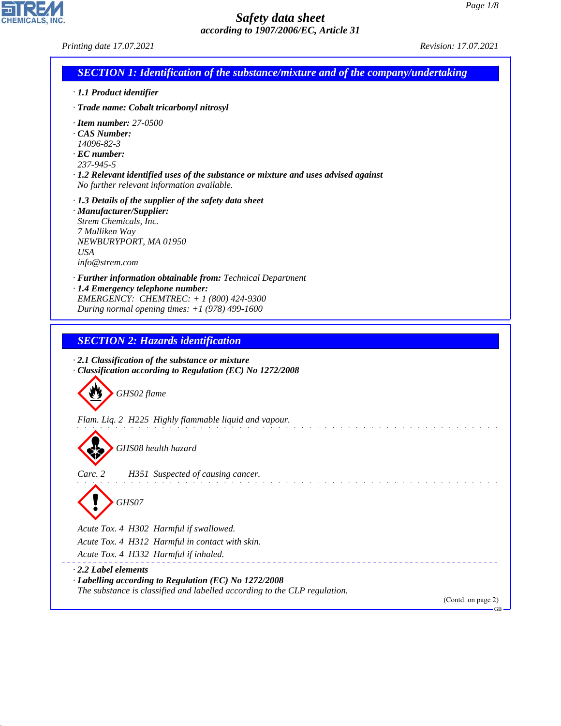CHEMICALS, INC.

44.1.1

| <b>SECTION 1: Identification of the substance/mixture and of the company/undertaking</b><br>· 1.1 Product identifier<br>· Trade name: Cobalt tricarbonyl nitrosyl<br>$\cdot$ Item number: 27-0500<br>CAS Number:<br>14096-82-3<br>$\cdot$ EC number:<br>237-945-5<br>$\cdot$ 1.2 Relevant identified uses of the substance or mixture and uses advised against<br>No further relevant information available.<br>$\cdot$ 1.3 Details of the supplier of the safety data sheet<br>· Manufacturer/Supplier:<br>Strem Chemicals, Inc.<br>7 Mulliken Way<br>NEWBURYPORT, MA 01950<br><b>USA</b><br>info@strem.com<br>· Further information obtainable from: Technical Department<br>· 1.4 Emergency telephone number:<br>EMERGENCY: CHEMTREC: $+ 1 (800) 424 - 9300$<br>During normal opening times: $+1$ (978) 499-1600<br><b>SECTION 2: Hazards identification</b><br>$\cdot$ 2.1 Classification of the substance or mixture<br>Classification according to Regulation (EC) No 1272/2008<br>GHS02 flame<br>Flam. Liq. 2 H225 Highly flammable liquid and vapour.<br>GHS08 health hazard<br>Carc. 2<br>H351 Suspected of causing cancer. | Revision: 17.07.2021 |
|--------------------------------------------------------------------------------------------------------------------------------------------------------------------------------------------------------------------------------------------------------------------------------------------------------------------------------------------------------------------------------------------------------------------------------------------------------------------------------------------------------------------------------------------------------------------------------------------------------------------------------------------------------------------------------------------------------------------------------------------------------------------------------------------------------------------------------------------------------------------------------------------------------------------------------------------------------------------------------------------------------------------------------------------------------------------------------------------------------------------------------------|----------------------|
|                                                                                                                                                                                                                                                                                                                                                                                                                                                                                                                                                                                                                                                                                                                                                                                                                                                                                                                                                                                                                                                                                                                                      |                      |
|                                                                                                                                                                                                                                                                                                                                                                                                                                                                                                                                                                                                                                                                                                                                                                                                                                                                                                                                                                                                                                                                                                                                      |                      |
|                                                                                                                                                                                                                                                                                                                                                                                                                                                                                                                                                                                                                                                                                                                                                                                                                                                                                                                                                                                                                                                                                                                                      |                      |
|                                                                                                                                                                                                                                                                                                                                                                                                                                                                                                                                                                                                                                                                                                                                                                                                                                                                                                                                                                                                                                                                                                                                      |                      |
|                                                                                                                                                                                                                                                                                                                                                                                                                                                                                                                                                                                                                                                                                                                                                                                                                                                                                                                                                                                                                                                                                                                                      |                      |
|                                                                                                                                                                                                                                                                                                                                                                                                                                                                                                                                                                                                                                                                                                                                                                                                                                                                                                                                                                                                                                                                                                                                      |                      |
|                                                                                                                                                                                                                                                                                                                                                                                                                                                                                                                                                                                                                                                                                                                                                                                                                                                                                                                                                                                                                                                                                                                                      |                      |
|                                                                                                                                                                                                                                                                                                                                                                                                                                                                                                                                                                                                                                                                                                                                                                                                                                                                                                                                                                                                                                                                                                                                      |                      |
|                                                                                                                                                                                                                                                                                                                                                                                                                                                                                                                                                                                                                                                                                                                                                                                                                                                                                                                                                                                                                                                                                                                                      |                      |
|                                                                                                                                                                                                                                                                                                                                                                                                                                                                                                                                                                                                                                                                                                                                                                                                                                                                                                                                                                                                                                                                                                                                      |                      |
|                                                                                                                                                                                                                                                                                                                                                                                                                                                                                                                                                                                                                                                                                                                                                                                                                                                                                                                                                                                                                                                                                                                                      |                      |
| GHS07                                                                                                                                                                                                                                                                                                                                                                                                                                                                                                                                                                                                                                                                                                                                                                                                                                                                                                                                                                                                                                                                                                                                |                      |
|                                                                                                                                                                                                                                                                                                                                                                                                                                                                                                                                                                                                                                                                                                                                                                                                                                                                                                                                                                                                                                                                                                                                      |                      |
| Acute Tox. 4 H302 Harmful if swallowed.<br>Acute Tox. 4 H312 Harmful in contact with skin.                                                                                                                                                                                                                                                                                                                                                                                                                                                                                                                                                                                                                                                                                                                                                                                                                                                                                                                                                                                                                                           |                      |
| Acute Tox. 4 H332 Harmful if inhaled.                                                                                                                                                                                                                                                                                                                                                                                                                                                                                                                                                                                                                                                                                                                                                                                                                                                                                                                                                                                                                                                                                                |                      |
| 2.2 Label elements<br>· Labelling according to Regulation (EC) No 1272/2008<br>The substance is classified and labelled according to the CLP regulation.                                                                                                                                                                                                                                                                                                                                                                                                                                                                                                                                                                                                                                                                                                                                                                                                                                                                                                                                                                             | (Contd. on page 2)   |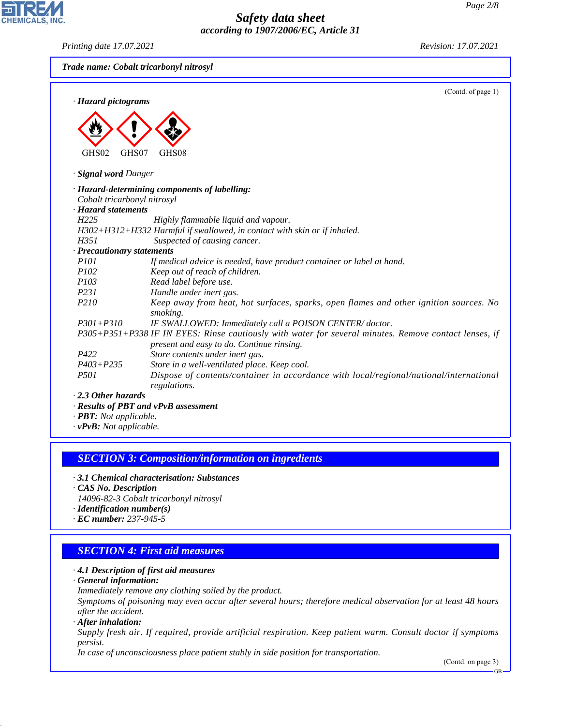*Printing date 17.07.2021 Revision: 17.07.2021*

**CHEMICALS, INC.** 

|                             | (Contd. of page 1)                                                                                                                                 |
|-----------------------------|----------------------------------------------------------------------------------------------------------------------------------------------------|
| · Hazard pictograms         |                                                                                                                                                    |
|                             |                                                                                                                                                    |
|                             |                                                                                                                                                    |
|                             |                                                                                                                                                    |
| GHS02<br>GHS07              | GHS08                                                                                                                                              |
| · Signal word Danger        |                                                                                                                                                    |
|                             | · Hazard-determining components of labelling:                                                                                                      |
| Cobalt tricarbonyl nitrosyl |                                                                                                                                                    |
| · Hazard statements         |                                                                                                                                                    |
| H <sub>225</sub>            | Highly flammable liquid and vapour.                                                                                                                |
|                             | H302+H312+H332 Harmful if swallowed, in contact with skin or if inhaled.                                                                           |
| H351                        | Suspected of causing cancer.                                                                                                                       |
| · Precautionary statements  |                                                                                                                                                    |
| <i>P101</i>                 | If medical advice is needed, have product container or label at hand.                                                                              |
| P <sub>102</sub>            | Keep out of reach of children.                                                                                                                     |
| P103                        | Read label before use.                                                                                                                             |
| P231                        | Handle under inert gas.                                                                                                                            |
| P210                        | Keep away from heat, hot surfaces, sparks, open flames and other ignition sources. No<br>smoking.                                                  |
| $P301 + P310$               | IF SWALLOWED: Immediately call a POISON CENTER/doctor.                                                                                             |
|                             | P305+P351+P338 IF IN EYES: Rinse cautiously with water for several minutes. Remove contact lenses, if<br>present and easy to do. Continue rinsing. |
| P422                        | Store contents under inert gas.                                                                                                                    |
| $P403 + P235$               | Store in a well-ventilated place. Keep cool.                                                                                                       |
| P <sub>501</sub>            | Dispose of contents/container in accordance with local/regional/national/international<br>regulations.                                             |
| $\cdot$ 2.3 Other hazards   |                                                                                                                                                    |
|                             | · Results of PBT and vPvB assessment                                                                                                               |

#### *SECTION 3: Composition/information on ingredients*

- *· 3.1 Chemical characterisation: Substances*
- *· CAS No. Description*
- *14096-82-3 Cobalt tricarbonyl nitrosyl*
- *· Identification number(s)*
- *· EC number: 237-945-5*

### *SECTION 4: First aid measures*

- *· 4.1 Description of first aid measures*
- *· General information:*
- *Immediately remove any clothing soiled by the product.*

*Symptoms of poisoning may even occur after several hours; therefore medical observation for at least 48 hours after the accident.*

*· After inhalation:*

44.1.1

*Supply fresh air. If required, provide artificial respiration. Keep patient warm. Consult doctor if symptoms persist.*

*In case of unconsciousness place patient stably in side position for transportation.*

(Contd. on page 3)

GB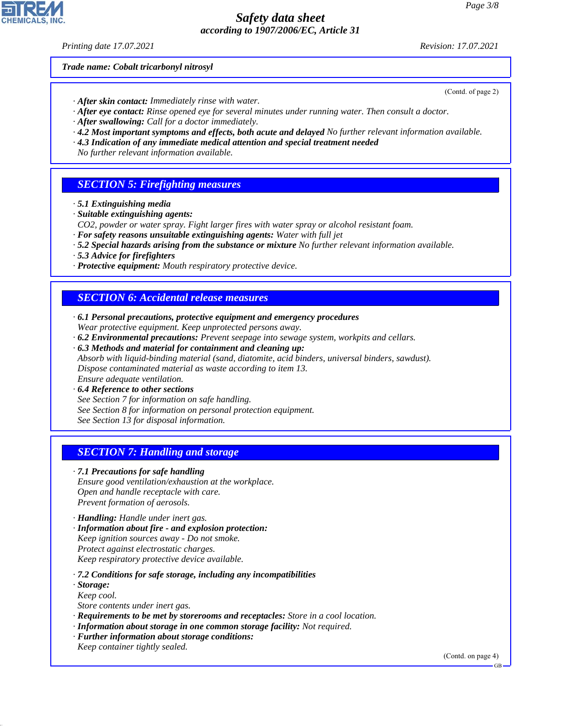*Printing date 17.07.2021 Revision: 17.07.2021*

*Trade name: Cobalt tricarbonyl nitrosyl*

- *· After skin contact: Immediately rinse with water.*
- *· After eye contact: Rinse opened eye for several minutes under running water. Then consult a doctor.*
- *· After swallowing: Call for a doctor immediately.*
- *· 4.2 Most important symptoms and effects, both acute and delayed No further relevant information available.*
- *· 4.3 Indication of any immediate medical attention and special treatment needed*
- *No further relevant information available.*

## *SECTION 5: Firefighting measures*

- *· 5.1 Extinguishing media*
- *· Suitable extinguishing agents:*
- *CO2, powder or water spray. Fight larger fires with water spray or alcohol resistant foam.*
- *· For safety reasons unsuitable extinguishing agents: Water with full jet*
- *· 5.2 Special hazards arising from the substance or mixture No further relevant information available.*
- *· 5.3 Advice for firefighters*
- *· Protective equipment: Mouth respiratory protective device.*

## *SECTION 6: Accidental release measures*

- *· 6.1 Personal precautions, protective equipment and emergency procedures Wear protective equipment. Keep unprotected persons away.*
- *· 6.2 Environmental precautions: Prevent seepage into sewage system, workpits and cellars.*

*· 6.3 Methods and material for containment and cleaning up: Absorb with liquid-binding material (sand, diatomite, acid binders, universal binders, sawdust). Dispose contaminated material as waste according to item 13. Ensure adequate ventilation.*

*· 6.4 Reference to other sections*

- *See Section 7 for information on safe handling.*
- *See Section 8 for information on personal protection equipment.*

*See Section 13 for disposal information.*

## *SECTION 7: Handling and storage*

#### *· 7.1 Precautions for safe handling*

*Ensure good ventilation/exhaustion at the workplace. Open and handle receptacle with care. Prevent formation of aerosols.*

- *· Handling: Handle under inert gas.*
- *· Information about fire and explosion protection: Keep ignition sources away - Do not smoke. Protect against electrostatic charges. Keep respiratory protective device available.*
- *· 7.2 Conditions for safe storage, including any incompatibilities*
- *· Storage:*

44.1.1

- *Keep cool.*
- *Store contents under inert gas.*
- *· Requirements to be met by storerooms and receptacles: Store in a cool location.*
- *· Information about storage in one common storage facility: Not required.*
- *· Further information about storage conditions: Keep container tightly sealed.*

(Contd. on page 4)



(Contd. of page 2)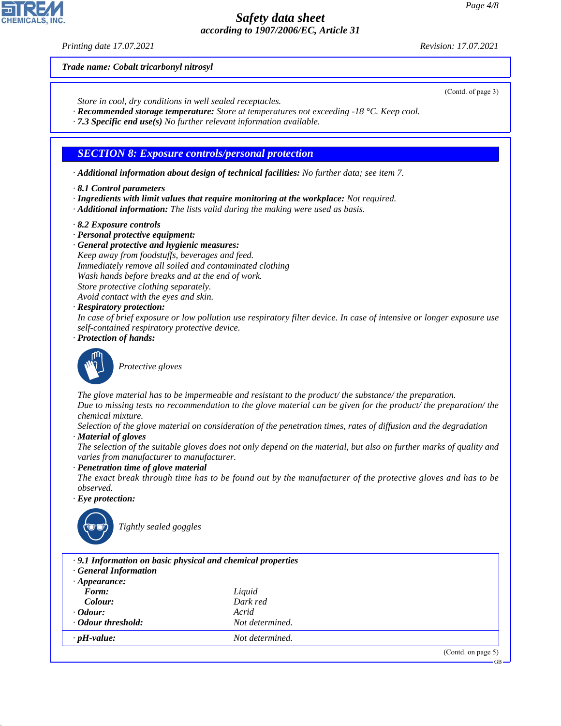*Printing date 17.07.2021 Revision: 17.07.2021*

*Trade name: Cobalt tricarbonyl nitrosyl*

- *Store in cool, dry conditions in well sealed receptacles.*
- *· Recommended storage temperature: Store at temperatures not exceeding -18 °C. Keep cool.*
- *· 7.3 Specific end use(s) No further relevant information available.*

## *SECTION 8: Exposure controls/personal protection*

- *· Additional information about design of technical facilities: No further data; see item 7.*
- *· 8.1 Control parameters*
- *· Ingredients with limit values that require monitoring at the workplace: Not required.*
- *· Additional information: The lists valid during the making were used as basis.*
- *· 8.2 Exposure controls*
- *· Personal protective equipment:*
- *· General protective and hygienic measures: Keep away from foodstuffs, beverages and feed. Immediately remove all soiled and contaminated clothing Wash hands before breaks and at the end of work. Store protective clothing separately. Avoid contact with the eyes and skin.*
- *· Respiratory protection:*
- *In case of brief exposure or low pollution use respiratory filter device. In case of intensive or longer exposure use self-contained respiratory protective device.*
- *· Protection of hands:*



\_S*Protective gloves*

*The glove material has to be impermeable and resistant to the product/ the substance/ the preparation. Due to missing tests no recommendation to the glove material can be given for the product/ the preparation/ the chemical mixture.*

- *Selection of the glove material on consideration of the penetration times, rates of diffusion and the degradation · Material of gloves*
- *The selection of the suitable gloves does not only depend on the material, but also on further marks of quality and varies from manufacturer to manufacturer.*

#### *· Penetration time of glove material*

- *The exact break through time has to be found out by the manufacturer of the protective gloves and has to be observed.*
- *· Eye protection:*



44.1.1

\_R*Tightly sealed goggles*

| .9.1 Information on basic physical and chemical properties<br><b>General Information</b><br>$\cdot$ Appearance: |                 |                    |
|-----------------------------------------------------------------------------------------------------------------|-----------------|--------------------|
| Form:                                                                                                           | Liquid          |                    |
| Colour:                                                                                                         | Dark red        |                    |
| $\cdot$ Odour:                                                                                                  | Acrid           |                    |
| · Odour threshold:                                                                                              | Not determined. |                    |
| $\cdot$ pH-value:                                                                                               | Not determined. |                    |
|                                                                                                                 |                 | (Contd. on page 5) |

(Contd. of page 3)

GB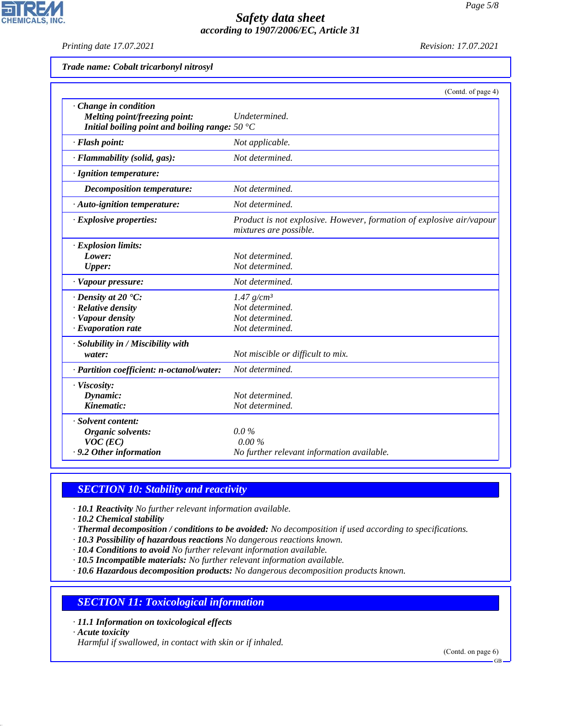*Printing date 17.07.2021 Revision: 17.07.2021*

**CHEMICALS, INC.** 

| Trade name: Cobalt tricarbonyl nitrosyl |  |  |  |
|-----------------------------------------|--|--|--|
|-----------------------------------------|--|--|--|

|                                                                                                                 | (Contd. of page 4)                                                                             |
|-----------------------------------------------------------------------------------------------------------------|------------------------------------------------------------------------------------------------|
| Change in condition<br>Melting point/freezing point:<br>Initial boiling point and boiling range: $50^{\circ}$ C | Undetermined.                                                                                  |
| · Flash point:                                                                                                  | Not applicable.                                                                                |
| · Flammability (solid, gas):                                                                                    | Not determined.                                                                                |
| · Ignition temperature:                                                                                         |                                                                                                |
| Decomposition temperature:                                                                                      | Not determined.                                                                                |
| · Auto-ignition temperature:                                                                                    | Not determined.                                                                                |
| · Explosive properties:                                                                                         | Product is not explosive. However, formation of explosive air/vapour<br>mixtures are possible. |
| · Explosion limits:<br>Lower:<br><b>Upper:</b>                                                                  | Not determined.<br>Not determined.                                                             |
| · Vapour pressure:                                                                                              | Not determined.                                                                                |
| $\cdot$ Density at 20 $\degree$ C:<br>· Relative density<br>· Vapour density<br>$\cdot$ Evaporation rate        | $1.47$ g/cm <sup>3</sup><br>Not determined.<br>Not determined.<br>Not determined.              |
| · Solubility in / Miscibility with<br>water:                                                                    | Not miscible or difficult to mix.                                                              |
| · Partition coefficient: n-octanol/water:                                                                       | Not determined.                                                                                |
| · Viscosity:<br>Dynamic:<br>Kinematic:                                                                          | Not determined.<br>Not determined.                                                             |
| · Solvent content:<br>Organic solvents:<br>$VOC$ (EC)<br>· 9.2 Other information                                | $0.0\%$<br>$0.00\%$<br>No further relevant information available.                              |

# *SECTION 10: Stability and reactivity*

*· 10.1 Reactivity No further relevant information available.*

*· 10.2 Chemical stability*

*· Thermal decomposition / conditions to be avoided: No decomposition if used according to specifications.*

*· 10.3 Possibility of hazardous reactions No dangerous reactions known.*

*· 10.4 Conditions to avoid No further relevant information available.*

*· 10.5 Incompatible materials: No further relevant information available.*

*· 10.6 Hazardous decomposition products: No dangerous decomposition products known.*

# *SECTION 11: Toxicological information*

*· 11.1 Information on toxicological effects*

*· Acute toxicity*

44.1.1

*Harmful if swallowed, in contact with skin or if inhaled.*

(Contd. on page 6)

GB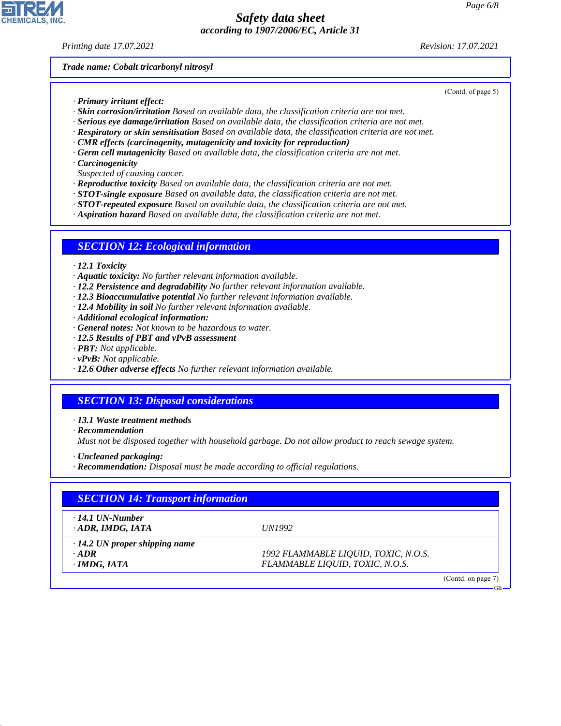*Printing date 17.07.2021 Revision: 17.07.2021*

*Trade name: Cobalt tricarbonyl nitrosyl*

- *· Primary irritant effect:*
- *· Skin corrosion/irritation Based on available data, the classification criteria are not met.*
- *· Serious eye damage/irritation Based on available data, the classification criteria are not met.*
- *· Respiratory or skin sensitisation Based on available data, the classification criteria are not met.*
- *· CMR effects (carcinogenity, mutagenicity and toxicity for reproduction)*
- *· Germ cell mutagenicity Based on available data, the classification criteria are not met.*
- *· Carcinogenicity*
- *Suspected of causing cancer.*
- *· Reproductive toxicity Based on available data, the classification criteria are not met.*
- *· STOT-single exposure Based on available data, the classification criteria are not met.*
- *· STOT-repeated exposure Based on available data, the classification criteria are not met.*
- *· Aspiration hazard Based on available data, the classification criteria are not met.*

#### *SECTION 12: Ecological information*

#### *· 12.1 Toxicity*

- *· Aquatic toxicity: No further relevant information available.*
- *· 12.2 Persistence and degradability No further relevant information available.*
- *· 12.3 Bioaccumulative potential No further relevant information available.*
- *· 12.4 Mobility in soil No further relevant information available.*
- *· Additional ecological information:*
- *· General notes: Not known to be hazardous to water.*
- *· 12.5 Results of PBT and vPvB assessment*
- *· PBT: Not applicable.*
- *· vPvB: Not applicable.*
- *· 12.6 Other adverse effects No further relevant information available.*

### *SECTION 13: Disposal considerations*

*· 13.1 Waste treatment methods*

*· Recommendation*

*Must not be disposed together with household garbage. Do not allow product to reach sewage system.*

- *· Uncleaned packaging:*
- *· Recommendation: Disposal must be made according to official regulations.*

| <b>SECTION 14: Transport information</b> |                                      |  |
|------------------------------------------|--------------------------------------|--|
| $\cdot$ 14.1 UN-Number                   |                                      |  |
| $\cdot$ ADR, IMDG, IATA                  | <i>UN1992</i>                        |  |
| $\cdot$ 14.2 UN proper shipping name     |                                      |  |
| $\cdot$ ADR                              | 1992 FLAMMABLE LIQUID, TOXIC, N.O.S. |  |
| $\cdot$ IMDG, IATA                       | FLAMMABLE LIQUID, TOXIC, N.O.S.      |  |



44.1.1

(Contd. of page 5)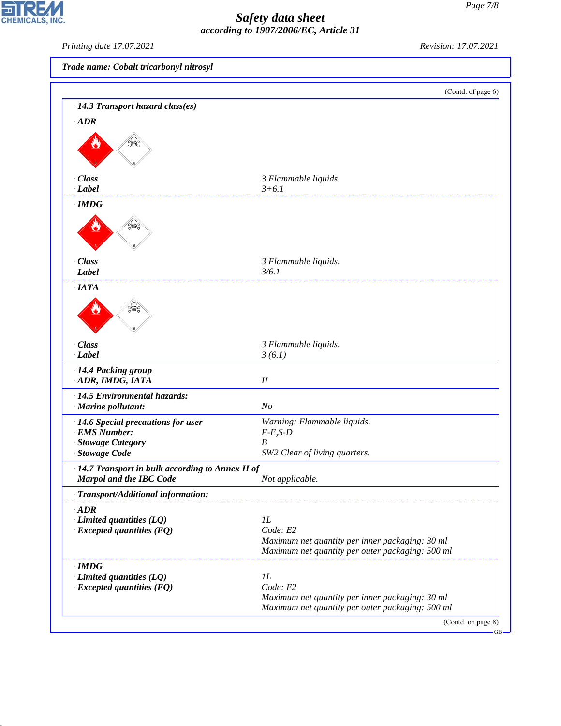*Printing date 17.07.2021 Revision: 17.07.2021*

 $\mathbf{r}$ 

**CHEMICALS, INC.** 

44.1.1

| Trade name: Cobalt tricarbonyl nitrosyl                                             |                                                  |
|-------------------------------------------------------------------------------------|--------------------------------------------------|
|                                                                                     |                                                  |
|                                                                                     | (Contd. of page 6)                               |
| $\cdot$ 14.3 Transport hazard class(es)                                             |                                                  |
| $\cdot$ ADR                                                                         |                                                  |
|                                                                                     |                                                  |
| · Class                                                                             | 3 Flammable liquids.                             |
| $\cdot$ Label                                                                       | $3 + 6.1$<br><u>.</u>                            |
| $\cdot$ IMDG                                                                        |                                                  |
|                                                                                     |                                                  |
| · Class                                                                             | 3 Flammable liquids.                             |
| $\cdot$ <i>Label</i>                                                                | 3/6.1                                            |
| ·IATA                                                                               |                                                  |
|                                                                                     |                                                  |
| · Class                                                                             | 3 Flammable liquids.                             |
| $\cdot$ <i>Label</i>                                                                | 3(6.1)                                           |
| · 14.4 Packing group                                                                |                                                  |
| · ADR, IMDG, IATA                                                                   | $I\!I$                                           |
| · 14.5 Environmental hazards:                                                       |                                                  |
| · Marine pollutant:                                                                 | N <sub>O</sub>                                   |
| · 14.6 Special precautions for user                                                 | Warning: Flammable liquids.                      |
| · EMS Number:                                                                       | $F-E,S-D$                                        |
| · Stowage Category<br>· Stowage Code                                                | B<br>SW2 Clear of living quarters.               |
|                                                                                     |                                                  |
| · 14.7 Transport in bulk according to Annex II of<br><b>Marpol and the IBC Code</b> | Not applicable.                                  |
| · Transport/Additional information:                                                 |                                                  |
| $\cdot$ ADR                                                                         |                                                  |
| $\cdot$ Limited quantities (LQ)                                                     | 1L                                               |
| $\cdot$ Excepted quantities (EQ)                                                    | Code: E2                                         |
|                                                                                     | Maximum net quantity per inner packaging: 30 ml  |
|                                                                                     | Maximum net quantity per outer packaging: 500 ml |
| $\cdot$ IMDG                                                                        |                                                  |
| $\cdot$ Limited quantities (LQ)                                                     | $_{1L}$                                          |
| $\cdot$ Excepted quantities (EQ)                                                    | Code: E2                                         |
|                                                                                     | Maximum net quantity per inner packaging: 30 ml  |

*Maximum net quantity per outer packaging: 500 ml*

(Contd. on page 8) GB